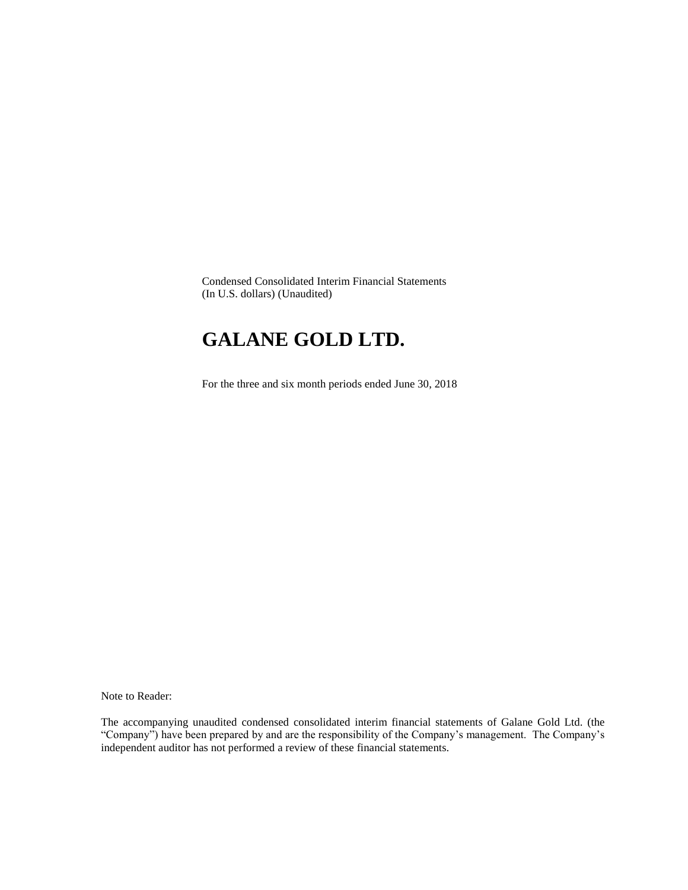Condensed Consolidated Interim Financial Statements (In U.S. dollars) (Unaudited)

## **GALANE GOLD LTD.**

For the three and six month periods ended June 30, 2018

Note to Reader:

The accompanying unaudited condensed consolidated interim financial statements of Galane Gold Ltd. (the "Company") have been prepared by and are the responsibility of the Company's management. The Company's independent auditor has not performed a review of these financial statements.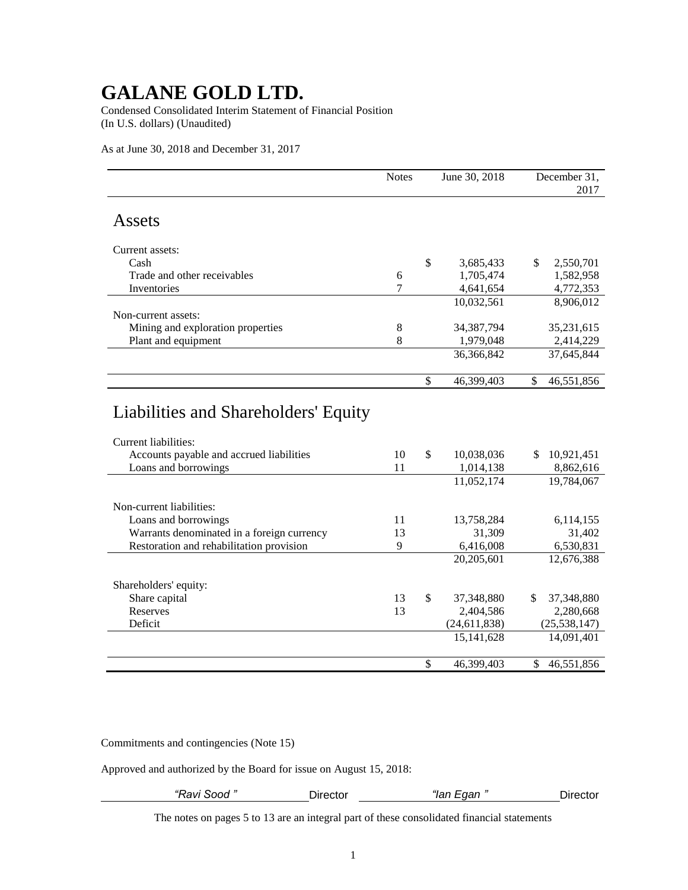Condensed Consolidated Interim Statement of Financial Position (In U.S. dollars) (Unaudited)

As at June 30, 2018 and December 31, 2017

|                                                                                                                                  | <b>Notes</b>     |                          | June 30, 2018           | December 31,<br>2017           |
|----------------------------------------------------------------------------------------------------------------------------------|------------------|--------------------------|-------------------------|--------------------------------|
| Assets                                                                                                                           |                  |                          |                         |                                |
| Current assets:                                                                                                                  |                  |                          |                         |                                |
| Cash                                                                                                                             |                  | \$                       | 3,685,433               | \$<br>2,550,701                |
| Trade and other receivables                                                                                                      | $\boldsymbol{6}$ |                          | 1,705,474               | 1,582,958                      |
| Inventories                                                                                                                      | 7                |                          | 4,641,654               | 4,772,353                      |
|                                                                                                                                  |                  |                          | 10,032,561              | 8,906,012                      |
| Non-current assets:                                                                                                              |                  |                          |                         |                                |
| Mining and exploration properties                                                                                                | 8                |                          | 34,387,794              | 35,231,615                     |
| Plant and equipment                                                                                                              | 8                |                          | 1,979,048               | 2,414,229                      |
|                                                                                                                                  |                  |                          | 36,366,842              | 37,645,844                     |
|                                                                                                                                  |                  | \$                       | 46,399,403              | \$<br>46,551,856               |
| Liabilities and Shareholders' Equity<br>Current liabilities:<br>Accounts payable and accrued liabilities<br>Loans and borrowings | 10<br>11         | \$                       | 10,038,036<br>1,014,138 | 10,921,451<br>\$.<br>8,862,616 |
|                                                                                                                                  |                  |                          | 11,052,174              | 19,784,067                     |
| Non-current liabilities:                                                                                                         |                  |                          |                         |                                |
| Loans and borrowings                                                                                                             | 11               |                          | 13,758,284              | 6,114,155                      |
| Warrants denominated in a foreign currency                                                                                       | 13               |                          | 31,309                  | 31,402                         |
| Restoration and rehabilitation provision                                                                                         | 9                |                          | 6,416,008               | 6,530,831                      |
|                                                                                                                                  |                  |                          | 20,205,601              | 12,676,388                     |
| Shareholders' equity:                                                                                                            |                  |                          |                         |                                |
| Share capital                                                                                                                    | 13               | $\mathbb{S}$             | 37,348,880              | \$<br>37,348,880               |
| Reserves                                                                                                                         | 13               |                          | 2,404,586               | 2,280,668                      |
| Deficit                                                                                                                          |                  |                          | (24, 611, 838)          | (25, 538, 147)                 |
|                                                                                                                                  |                  |                          | 15, 141, 628            | 14,091,401                     |
|                                                                                                                                  |                  | $\overline{\mathcal{S}}$ | 46,399,403              | 46,551,856<br>\$               |

Commitments and contingencies (Note 15)

Approved and authorized by the Board for issue on August 15, 2018:

| Ravi Sood | Jirector | ∟aan "<br>$\sim$<br>ıan | ector |
|-----------|----------|-------------------------|-------|
|           |          |                         |       |

The notes on pages 5 to 13 are an integral part of these consolidated financial statements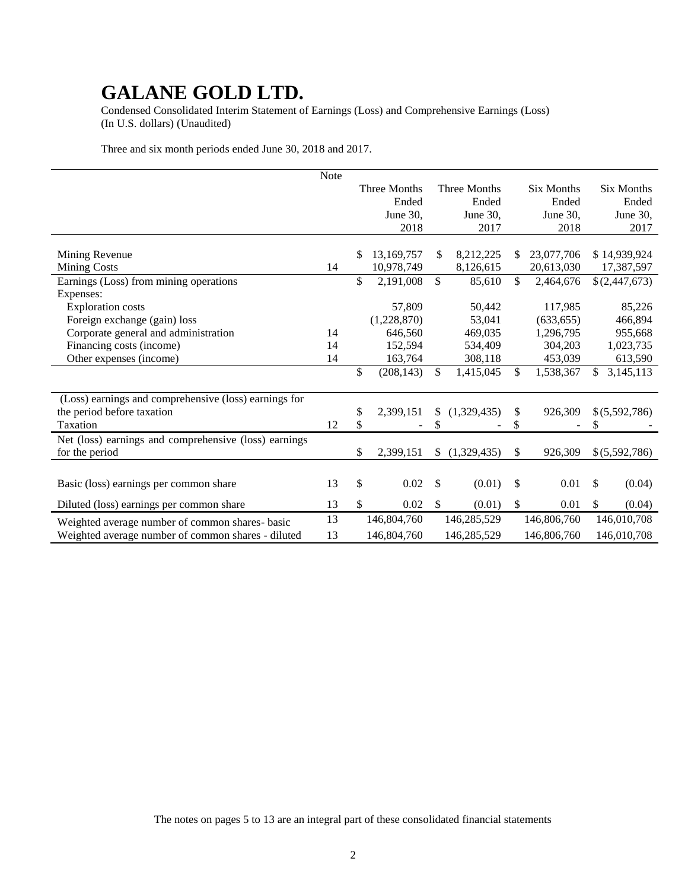Condensed Consolidated Interim Statement of Earnings (Loss) and Comprehensive Earnings (Loss) (In U.S. dollars) (Unaudited)

Three and six month periods ended June 30, 2018 and 2017.

|                                                       | Note |                  |              |                     |              |                   |                        |
|-------------------------------------------------------|------|------------------|--------------|---------------------|--------------|-------------------|------------------------|
|                                                       |      | Three Months     |              | <b>Three Months</b> |              | <b>Six Months</b> | <b>Six Months</b>      |
|                                                       |      | Ended            |              | Ended               |              | Ended             | Ended                  |
|                                                       |      | June 30,         |              | June 30,            |              | June 30,          | June 30,               |
|                                                       |      | 2018             |              | 2017                |              | 2018              | 2017                   |
|                                                       |      |                  |              |                     |              |                   |                        |
| Mining Revenue                                        |      | \$<br>13,169,757 | \$           | 8,212,225           |              | 23,077,706        | \$14,939,924           |
| <b>Mining Costs</b>                                   | 14   | 10,978,749       |              | 8,126,615           |              | 20,613,030        | 17,387,597             |
| Earnings (Loss) from mining operations                |      | \$<br>2,191,008  | \$           | 85,610              | \$           | 2,464,676         | \$(2,447,673)          |
| Expenses:                                             |      |                  |              |                     |              |                   |                        |
| <b>Exploration costs</b>                              |      | 57,809           |              | 50,442              |              | 117,985           | 85,226                 |
| Foreign exchange (gain) loss                          |      | (1,228,870)      |              | 53,041              |              | (633, 655)        | 466,894                |
| Corporate general and administration                  | 14   | 646,560          |              | 469,035             |              | 1,296,795         | 955,668                |
| Financing costs (income)                              | 14   | 152,594          |              | 534,409             |              | 304,203           | 1,023,735              |
| Other expenses (income)                               | 14   | 163,764          |              | 308,118             |              | 453,039           | 613,590                |
|                                                       |      | \$<br>(208, 143) | $\mathbb{S}$ | 1,415,045           | \$           | 1,538,367         | 3,145,113<br>\$        |
|                                                       |      |                  |              |                     |              |                   |                        |
| (Loss) earnings and comprehensive (loss) earnings for |      |                  |              |                     |              |                   |                        |
| the period before taxation                            |      | \$<br>2,399,151  | \$           | (1,329,435)         | \$           | 926,309           | \$ (5,592,786)         |
| Taxation                                              | 12   | \$               | \$           |                     | \$           |                   | S                      |
| Net (loss) earnings and comprehensive (loss) earnings |      |                  |              |                     |              |                   |                        |
| for the period                                        |      | \$<br>2,399,151  | S            | (1,329,435)         | \$           | 926,309           | \$(5,592,786)          |
|                                                       |      |                  |              |                     |              |                   |                        |
| Basic (loss) earnings per common share                | 13   | \$<br>0.02       | \$           | (0.01)              | $\mathbb{S}$ | 0.01              | \$<br>(0.04)           |
| Diluted (loss) earnings per common share              | 13   | \$<br>0.02       | \$           | (0.01)              | $\mathbb{S}$ | 0.01              | $\mathbb{S}$<br>(0.04) |
| Weighted average number of common shares- basic       | 13   | 146,804,760      |              | 146,285,529         |              | 146,806,760       | 146,010,708            |
| Weighted average number of common shares - diluted    | 13   | 146,804,760      |              | 146,285,529         |              | 146,806,760       | 146,010,708            |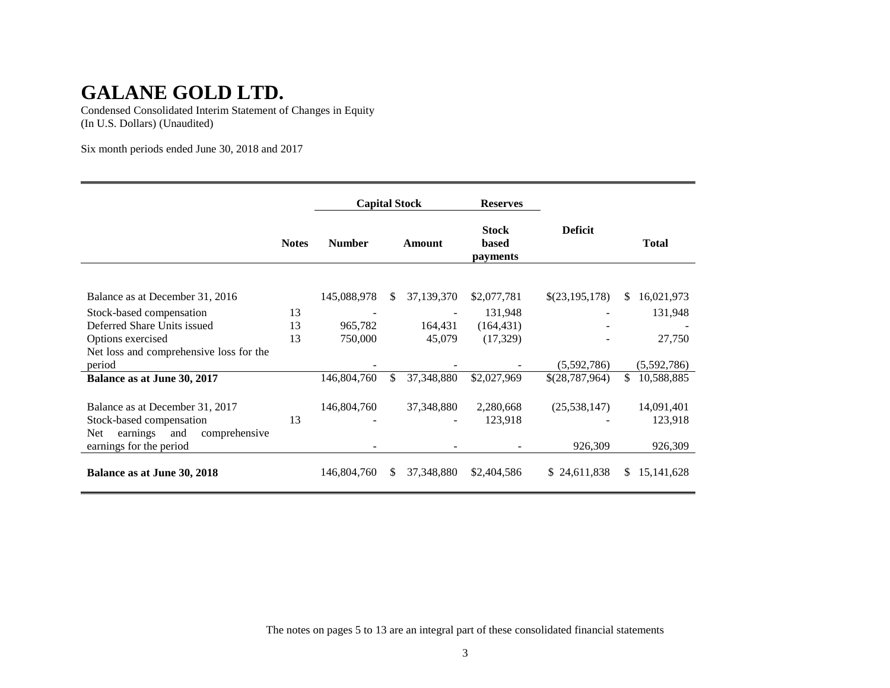Condensed Consolidated Interim Statement of Changes in Equity (In U.S. Dollars) (Unaudited)

Six month periods ended June 30, 2018 and 2017

|                                                                                                                                          |              | <b>Capital Stock</b> |     | <b>Reserves</b> |                                   |                           |                                  |
|------------------------------------------------------------------------------------------------------------------------------------------|--------------|----------------------|-----|-----------------|-----------------------------------|---------------------------|----------------------------------|
|                                                                                                                                          | <b>Notes</b> | <b>Number</b>        |     | Amount          | <b>Stock</b><br>based<br>payments | <b>Deficit</b>            | <b>Total</b>                     |
| Balance as at December 31, 2016                                                                                                          |              | 145,088,978          | \$. | 37,139,370      | \$2,077,781                       | \$(23,195,178)            | <sup>\$</sup><br>16,021,973      |
| Stock-based compensation                                                                                                                 | 13           |                      |     |                 | 131,948                           |                           | 131,948                          |
| Deferred Share Units issued                                                                                                              | 13           | 965,782              |     | 164,431         | (164, 431)                        |                           |                                  |
| Options exercised                                                                                                                        | 13           | 750,000              |     | 45,079          | (17, 329)                         |                           | 27,750                           |
| Net loss and comprehensive loss for the<br>period                                                                                        |              |                      |     |                 |                                   | (5,592,786)               | (5,592,786)                      |
| Balance as at June 30, 2017                                                                                                              |              | 146,804,760          | \$  | 37,348,880      | \$2,027,969                       | \$(28,787,964)            | 10,588,885<br>\$.                |
| Balance as at December 31, 2017<br>Stock-based compensation<br>earnings<br>and<br>comprehensive<br><b>Net</b><br>earnings for the period | 13           | 146,804,760          |     | 37, 348, 880    | 2,280,668<br>123,918              | (25, 538, 147)<br>926,309 | 14,091,401<br>123,918<br>926,309 |
| Balance as at June 30, 2018                                                                                                              |              | 146,804,760          | S.  | 37, 348, 880    | \$2,404,586                       | 24,611,838<br>S.          | 15, 141, 628<br>S.               |

The notes on pages 5 to 13 are an integral part of these consolidated financial statements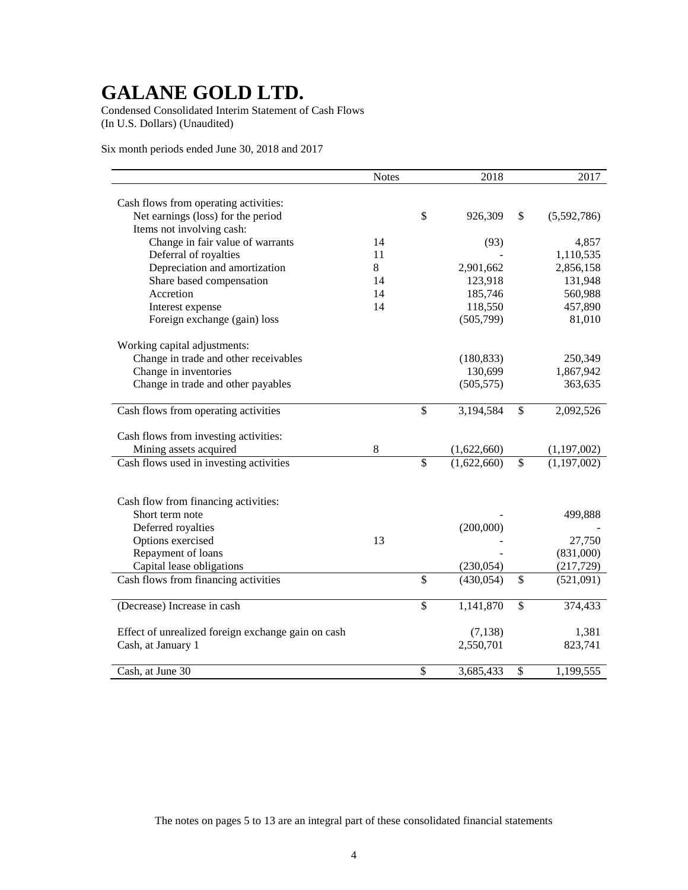Condensed Consolidated Interim Statement of Cash Flows (In U.S. Dollars) (Unaudited)

Six month periods ended June 30, 2018 and 2017

|                                                    | <b>Notes</b> |                          | 2018        | 2017              |
|----------------------------------------------------|--------------|--------------------------|-------------|-------------------|
|                                                    |              |                          |             |                   |
| Cash flows from operating activities:              |              |                          |             |                   |
| Net earnings (loss) for the period                 |              | \$                       | 926,309     | \$<br>(5,592,786) |
| Items not involving cash:                          |              |                          |             |                   |
| Change in fair value of warrants                   | 14           |                          | (93)        | 4,857             |
| Deferral of royalties                              | 11           |                          |             | 1,110,535         |
| Depreciation and amortization                      | 8            |                          | 2,901,662   | 2,856,158         |
| Share based compensation                           | 14           |                          | 123,918     | 131,948           |
| Accretion                                          | 14           |                          | 185,746     | 560,988           |
| Interest expense                                   | 14           |                          | 118,550     | 457,890           |
| Foreign exchange (gain) loss                       |              |                          | (505,799)   | 81,010            |
| Working capital adjustments:                       |              |                          |             |                   |
| Change in trade and other receivables              |              |                          | (180, 833)  | 250,349           |
| Change in inventories                              |              |                          | 130,699     | 1,867,942         |
| Change in trade and other payables                 |              |                          | (505, 575)  | 363,635           |
|                                                    |              |                          |             |                   |
| Cash flows from operating activities               |              | \$                       | 3,194,584   | \$<br>2,092,526   |
| Cash flows from investing activities:              |              |                          |             |                   |
| Mining assets acquired                             | 8            |                          | (1,622,660) | (1,197,002)       |
| Cash flows used in investing activities            |              | \$                       | (1,622,660) | \$<br>(1,197,002) |
|                                                    |              |                          |             |                   |
|                                                    |              |                          |             |                   |
| Cash flow from financing activities:               |              |                          |             |                   |
| Short term note                                    |              |                          |             | 499,888           |
| Deferred royalties                                 |              |                          | (200,000)   |                   |
| Options exercised                                  | 13           |                          |             | 27,750            |
| Repayment of loans                                 |              |                          |             | (831,000)         |
| Capital lease obligations                          |              |                          | (230, 054)  | (217,729)         |
| Cash flows from financing activities               |              | \$                       | (430, 054)  | \$<br>(521,091)   |
|                                                    |              |                          |             |                   |
| (Decrease) Increase in cash                        |              | $\overline{\mathcal{S}}$ | 1,141,870   | \$<br>374,433     |
| Effect of unrealized foreign exchange gain on cash |              |                          | (7, 138)    | 1,381             |
| Cash, at January 1                                 |              |                          | 2,550,701   | 823,741           |
|                                                    |              |                          |             |                   |
| Cash, at June 30                                   |              | $\mathcal{S}$            | 3,685,433   | \$<br>1,199,555   |

The notes on pages 5 to 13 are an integral part of these consolidated financial statements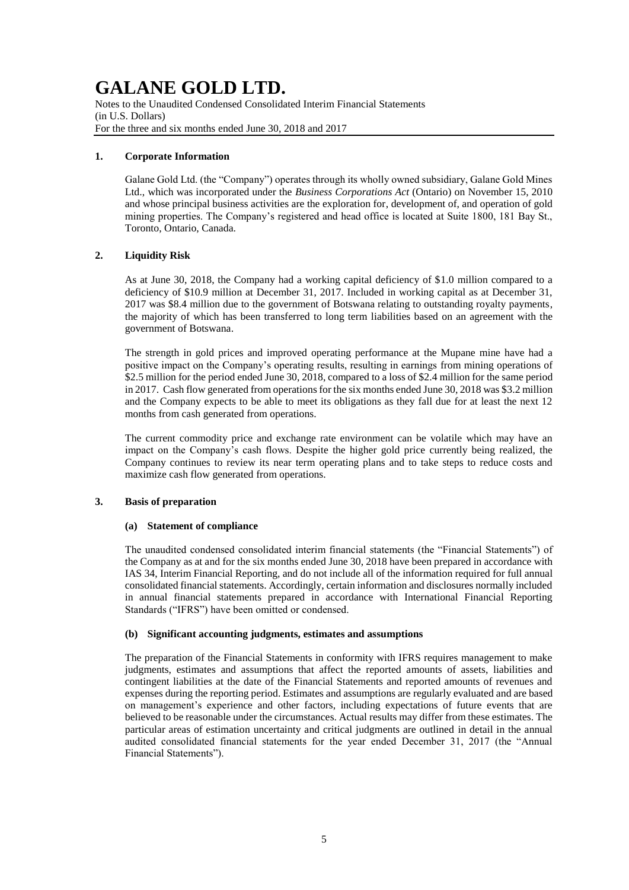Notes to the Unaudited Condensed Consolidated Interim Financial Statements (in U.S. Dollars) For the three and six months ended June 30, 2018 and 2017

### **1. Corporate Information**

Galane Gold Ltd. (the "Company") operates through its wholly owned subsidiary, Galane Gold Mines Ltd., which was incorporated under the *Business Corporations Act* (Ontario) on November 15, 2010 and whose principal business activities are the exploration for, development of, and operation of gold mining properties. The Company's registered and head office is located at Suite 1800, 181 Bay St., Toronto, Ontario, Canada.

### **2. Liquidity Risk**

As at June 30, 2018, the Company had a working capital deficiency of \$1.0 million compared to a deficiency of \$10.9 million at December 31, 2017. Included in working capital as at December 31, 2017 was \$8.4 million due to the government of Botswana relating to outstanding royalty payments, the majority of which has been transferred to long term liabilities based on an agreement with the government of Botswana.

The strength in gold prices and improved operating performance at the Mupane mine have had a positive impact on the Company's operating results, resulting in earnings from mining operations of \$2.5 million for the period ended June 30, 2018, compared to a loss of \$2.4 million for the same period in 2017. Cash flow generated from operations for the six months ended June 30, 2018 was \$3.2 million and the Company expects to be able to meet its obligations as they fall due for at least the next 12 months from cash generated from operations.

The current commodity price and exchange rate environment can be volatile which may have an impact on the Company's cash flows. Despite the higher gold price currently being realized, the Company continues to review its near term operating plans and to take steps to reduce costs and maximize cash flow generated from operations.

### **3. Basis of preparation**

### **(a) Statement of compliance**

The unaudited condensed consolidated interim financial statements (the "Financial Statements") of the Company as at and for the six months ended June 30, 2018 have been prepared in accordance with IAS 34, Interim Financial Reporting, and do not include all of the information required for full annual consolidated financial statements. Accordingly, certain information and disclosures normally included in annual financial statements prepared in accordance with International Financial Reporting Standards ("IFRS") have been omitted or condensed.

## **(b) Significant accounting judgments, estimates and assumptions**

The preparation of the Financial Statements in conformity with IFRS requires management to make judgments, estimates and assumptions that affect the reported amounts of assets, liabilities and contingent liabilities at the date of the Financial Statements and reported amounts of revenues and expenses during the reporting period. Estimates and assumptions are regularly evaluated and are based on management's experience and other factors, including expectations of future events that are believed to be reasonable under the circumstances. Actual results may differ from these estimates. The particular areas of estimation uncertainty and critical judgments are outlined in detail in the annual audited consolidated financial statements for the year ended December 31, 2017 (the "Annual Financial Statements").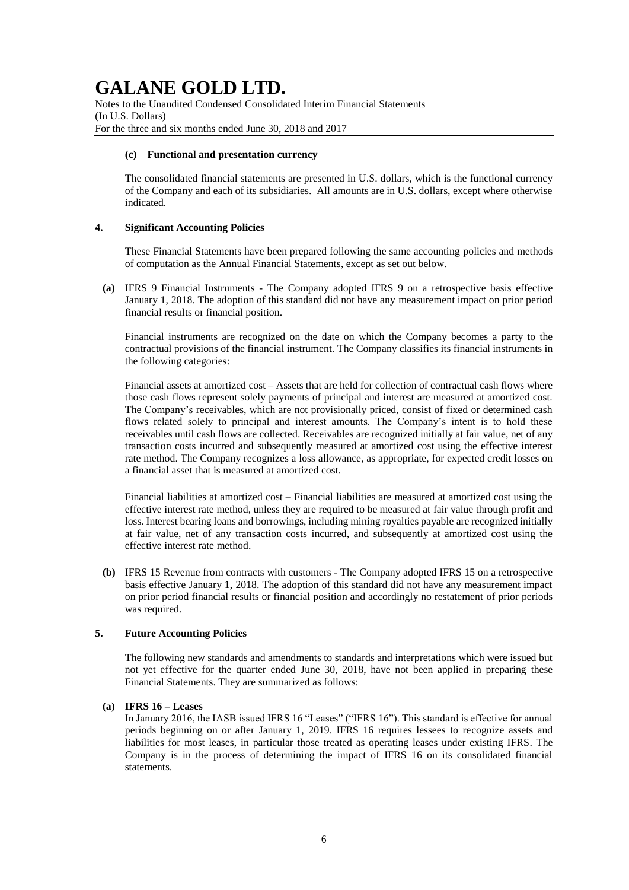Notes to the Unaudited Condensed Consolidated Interim Financial Statements (In U.S. Dollars) For the three and six months ended June 30, 2018 and 2017

#### **(c) Functional and presentation currency**

The consolidated financial statements are presented in U.S. dollars, which is the functional currency of the Company and each of its subsidiaries. All amounts are in U.S. dollars, except where otherwise indicated.

### **4. Significant Accounting Policies**

These Financial Statements have been prepared following the same accounting policies and methods of computation as the Annual Financial Statements, except as set out below.

**(a)** IFRS 9 Financial Instruments - The Company adopted IFRS 9 on a retrospective basis effective January 1, 2018. The adoption of this standard did not have any measurement impact on prior period financial results or financial position.

Financial instruments are recognized on the date on which the Company becomes a party to the contractual provisions of the financial instrument. The Company classifies its financial instruments in the following categories:

Financial assets at amortized cost – Assets that are held for collection of contractual cash flows where those cash flows represent solely payments of principal and interest are measured at amortized cost. The Company's receivables, which are not provisionally priced, consist of fixed or determined cash flows related solely to principal and interest amounts. The Company's intent is to hold these receivables until cash flows are collected. Receivables are recognized initially at fair value, net of any transaction costs incurred and subsequently measured at amortized cost using the effective interest rate method. The Company recognizes a loss allowance, as appropriate, for expected credit losses on a financial asset that is measured at amortized cost.

Financial liabilities at amortized cost *–* Financial liabilities are measured at amortized cost using the effective interest rate method, unless they are required to be measured at fair value through profit and loss. Interest bearing loans and borrowings, including mining royalties payable are recognized initially at fair value, net of any transaction costs incurred, and subsequently at amortized cost using the effective interest rate method.

**(b)** IFRS 15 Revenue from contracts with customers - The Company adopted IFRS 15 on a retrospective basis effective January 1, 2018. The adoption of this standard did not have any measurement impact on prior period financial results or financial position and accordingly no restatement of prior periods was required.

## **5. Future Accounting Policies**

The following new standards and amendments to standards and interpretations which were issued but not yet effective for the quarter ended June 30, 2018, have not been applied in preparing these Financial Statements. They are summarized as follows:

### **(a) IFRS 16 – Leases**

In January 2016, the IASB issued IFRS 16 "Leases" ("IFRS 16"). This standard is effective for annual periods beginning on or after January 1, 2019. IFRS 16 requires lessees to recognize assets and liabilities for most leases, in particular those treated as operating leases under existing IFRS. The Company is in the process of determining the impact of IFRS 16 on its consolidated financial statements.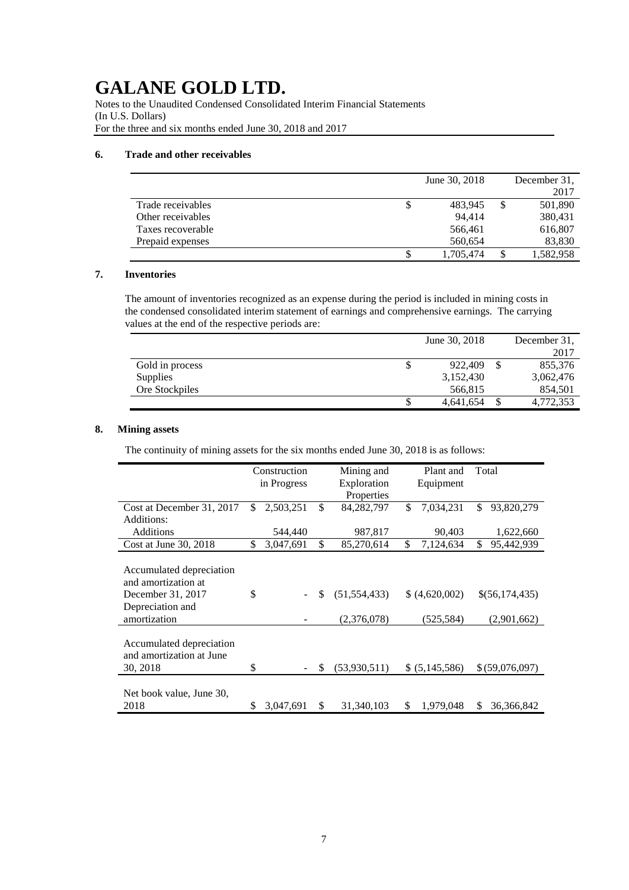Notes to the Unaudited Condensed Consolidated Interim Financial Statements (In U.S. Dollars) For the three and six months ended June 30, 2018 and 2017

#### **6. Trade and other receivables**

|                   |    | June 30, 2018 | December 31.    |
|-------------------|----|---------------|-----------------|
|                   |    |               | 2017            |
| Trade receivables | \$ | 483,945       | \$<br>501,890   |
| Other receivables |    | 94.414        | 380,431         |
| Taxes recoverable |    | 566,461       | 616,807         |
| Prepaid expenses  |    | 560,654       | 83,830          |
|                   | S  | 1,705,474     | \$<br>1,582,958 |

## **7. Inventories**

The amount of inventories recognized as an expense during the period is included in mining costs in the condensed consolidated interim statement of earnings and comprehensive earnings. The carrying values at the end of the respective periods are:

|                 |    | June 30, 2018 |   | December 31, |
|-----------------|----|---------------|---|--------------|
|                 |    |               |   | 2017         |
| Gold in process | \$ | 922,409       | S | 855.376      |
| <b>Supplies</b> |    | 3,152,430     |   | 3,062,476    |
| Ore Stockpiles  |    | 566,815       |   | 854,501      |
|                 | S  | 4,641,654     |   | 4,772,353    |

## **8. Mining assets**

The continuity of mining assets for the six months ended June 30, 2018 is as follows:

|                                                      | Construction |             | Mining and |                |    | Plant and      | Total            |
|------------------------------------------------------|--------------|-------------|------------|----------------|----|----------------|------------------|
|                                                      |              | in Progress |            | Exploration    |    | Equipment      |                  |
|                                                      |              |             |            | Properties     |    |                |                  |
| Cost at December 31, 2017                            | \$           | 2,503,251   | \$         | 84, 282, 797   | \$ | 7,034,231      | \$<br>93,820,279 |
| Additions:                                           |              |             |            |                |    |                |                  |
| <b>Additions</b>                                     |              | 544,440     |            | 987,817        |    | 90,403         | 1,622,660        |
| Cost at June $30, 2018$                              | \$           | 3,047,691   | \$         | 85,270,614     | \$ | 7,124,634      | \$<br>95,442,939 |
|                                                      |              |             |            |                |    |                |                  |
| Accumulated depreciation<br>and amortization at      |              |             |            |                |    |                |                  |
| December 31, 2017                                    | \$           |             | \$         | (51, 554, 433) |    | (4,620,002)    | \$(56,174,435)   |
| Depreciation and                                     |              |             |            |                |    |                |                  |
| amortization                                         |              |             |            | (2,376,078)    |    | (525,584)      | (2,901,662)      |
|                                                      |              |             |            |                |    |                |                  |
| Accumulated depreciation<br>and amortization at June |              |             |            |                |    |                |                  |
| 30, 2018                                             | \$           |             | \$         | (53,930,511)   |    | \$ (5,145,586) | \$ (59,076,097)  |
|                                                      |              |             |            |                |    |                |                  |
| Net book value, June 30,                             |              |             |            |                |    |                |                  |
| 2018                                                 | \$           | 3,047,691   | \$         | 31,340,103     | \$ | 1,979,048      | \$<br>36,366,842 |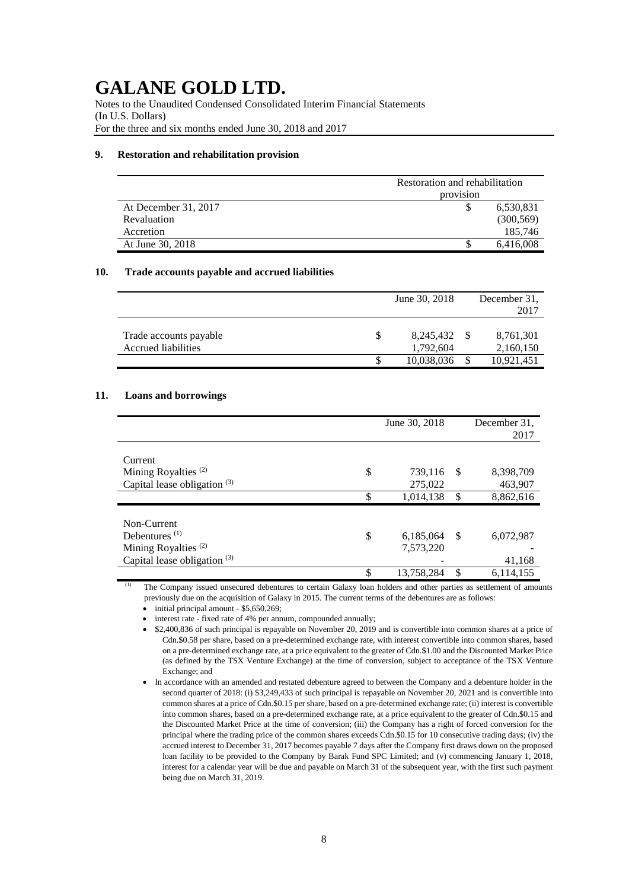Notes to the Unaudited Condensed Consolidated Interim Financial Statements (In U.S. Dollars) For the three and six months ended June 30, 2018 and 2017

#### **9. Restoration and rehabilitation provision**

|                      | Restoration and rehabilitation |            |  |  |  |
|----------------------|--------------------------------|------------|--|--|--|
|                      | provision                      |            |  |  |  |
| At December 31, 2017 |                                | 6,530,831  |  |  |  |
| Revaluation          |                                | (300, 569) |  |  |  |
| Accretion            |                                | 185,746    |  |  |  |
| At June 30, 2018     |                                | 6,416,008  |  |  |  |

#### **10. Trade accounts payable and accrued liabilities**

|                                               | June 30, 2018          | December 31.           |
|-----------------------------------------------|------------------------|------------------------|
|                                               |                        | 2017                   |
| Trade accounts payable<br>Accrued liabilities | 8,245,432<br>1,792,604 | 8,761,301<br>2,160,150 |
|                                               | 10,038,036             | 10,921,451             |

#### **11. Loans and borrowings**

|                                 | June 30, 2018    |      | December 31,<br>2017 |
|---------------------------------|------------------|------|----------------------|
| Current                         |                  |      |                      |
| Mining Royalties <sup>(2)</sup> | \$<br>739,116    | - \$ | 8,398,709            |
| Capital lease obligation $(3)$  | 275,022          |      | 463,907              |
|                                 | \$<br>1,014,138  | \$   | 8,862,616            |
|                                 |                  |      |                      |
| Non-Current                     |                  |      |                      |
| Debentures $(1)$                | \$<br>6,185,064  | -\$  | 6,072,987            |
| Mining Royalties <sup>(2)</sup> | 7,573,220        |      |                      |
| Capital lease obligation $(3)$  |                  |      | 41,168               |
|                                 | \$<br>13,758,284 | \$   | 6,114,155            |

The Company issued unsecured debentures to certain Galaxy loan holders and other parties as settlement of amounts previously due on the acquisition of Galaxy in 2015. The current terms of the debentures are as follows:

 $\bullet$  initial principal amount - \$5,650,269;

• interest rate - fixed rate of 4% per annum, compounded annually;

 \$2,400,836 of such principal is repayable on November 20, 2019 and is convertible into common shares at a price of Cdn.\$0.58 per share, based on a pre-determined exchange rate, with interest convertible into common shares, based on a pre-determined exchange rate, at a price equivalent to the greater of Cdn.\$1.00 and the Discounted Market Price (as defined by the TSX Venture Exchange) at the time of conversion, subject to acceptance of the TSX Venture Exchange; and

In accordance with an amended and restated debenture agreed to between the Company and a debenture holder in the second quarter of 2018: (i) \$3,249,433 of such principal is repayable on November 20, 2021 and is convertible into common shares at a price of Cdn.\$0.15 per share, based on a pre-determined exchange rate; (ii) interest is convertible into common shares, based on a pre-determined exchange rate, at a price equivalent to the greater of Cdn.\$0.15 and the Discounted Market Price at the time of conversion; (iii) the Company has a right of forced conversion for the principal where the trading price of the common shares exceeds Cdn.\$0.15 for 10 consecutive trading days; (iv) the accrued interest to December 31, 2017 becomes payable 7 days after the Company first draws down on the proposed loan facility to be provided to the Company by Barak Fund SPC Limited; and (v) commencing January 1, 2018, interest for a calendar year will be due and payable on March 31 of the subsequent year, with the first such payment being due on March 31, 2019.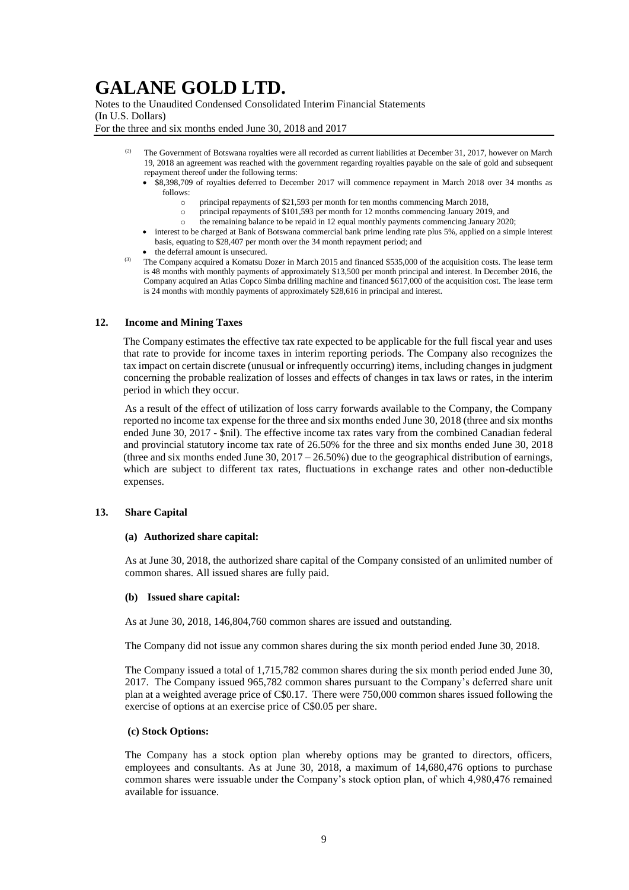Notes to the Unaudited Condensed Consolidated Interim Financial Statements (In U.S. Dollars) For the three and six months ended June 30, 2018 and 2017

- The Government of Botswana royalties were all recorded as current liabilities at December 31, 2017, however on March 19, 2018 an agreement was reached with the government regarding royalties payable on the sale of gold and subsequent repayment thereof under the following terms:
	- $\overline{\bullet}$  \$8,398,709 of royalties deferred to December 2017 will commence repayment in March 2018 over 34 months as follows:
		- o principal repayments of \$21,593 per month for ten months commencing March 2018,
		- o principal repayments of \$101,593 per month for 12 months commencing January 2019, and
		- the remaining balance to be repaid in 12 equal monthly payments commencing January 2020;
	- interest to be charged at Bank of Botswana commercial bank prime lending rate plus 5%, applied on a simple interest basis, equating to \$28,407 per month over the 34 month repayment period; and
	- the deferral amount is unsecured.
- (3) The Company acquired a Komatsu Dozer in March 2015 and financed \$535,000 of the acquisition costs. The lease term is 48 months with monthly payments of approximately \$13,500 per month principal and interest. In December 2016, the Company acquired an Atlas Copco Simba drilling machine and financed \$617,000 of the acquisition cost. The lease term is 24 months with monthly payments of approximately \$28,616 in principal and interest.

#### **12. Income and Mining Taxes**

The Company estimates the effective tax rate expected to be applicable for the full fiscal year and uses that rate to provide for income taxes in interim reporting periods. The Company also recognizes the tax impact on certain discrete (unusual or infrequently occurring) items, including changes in judgment concerning the probable realization of losses and effects of changes in tax laws or rates, in the interim period in which they occur.

As a result of the effect of utilization of loss carry forwards available to the Company, the Company reported no income tax expense for the three and six months ended June 30, 2018 (three and six months ended June 30, 2017 - \$nil). The effective income tax rates vary from the combined Canadian federal and provincial statutory income tax rate of 26.50% for the three and six months ended June 30, 2018 (three and six months ended June 30,  $2017 - 26.50\%$ ) due to the geographical distribution of earnings, which are subject to different tax rates, fluctuations in exchange rates and other non-deductible expenses.

#### **13. Share Capital**

#### **(a) Authorized share capital:**

As at June 30, 2018, the authorized share capital of the Company consisted of an unlimited number of common shares. All issued shares are fully paid.

#### **(b) Issued share capital:**

As at June 30, 2018, 146,804,760 common shares are issued and outstanding.

The Company did not issue any common shares during the six month period ended June 30, 2018.

The Company issued a total of 1,715,782 common shares during the six month period ended June 30, 2017. The Company issued 965,782 common shares pursuant to the Company's deferred share unit plan at a weighted average price of C\$0.17. There were 750,000 common shares issued following the exercise of options at an exercise price of C\$0.05 per share.

#### **(c) Stock Options:**

The Company has a stock option plan whereby options may be granted to directors, officers, employees and consultants. As at June 30, 2018, a maximum of 14,680,476 options to purchase common shares were issuable under the Company's stock option plan, of which 4,980,476 remained available for issuance.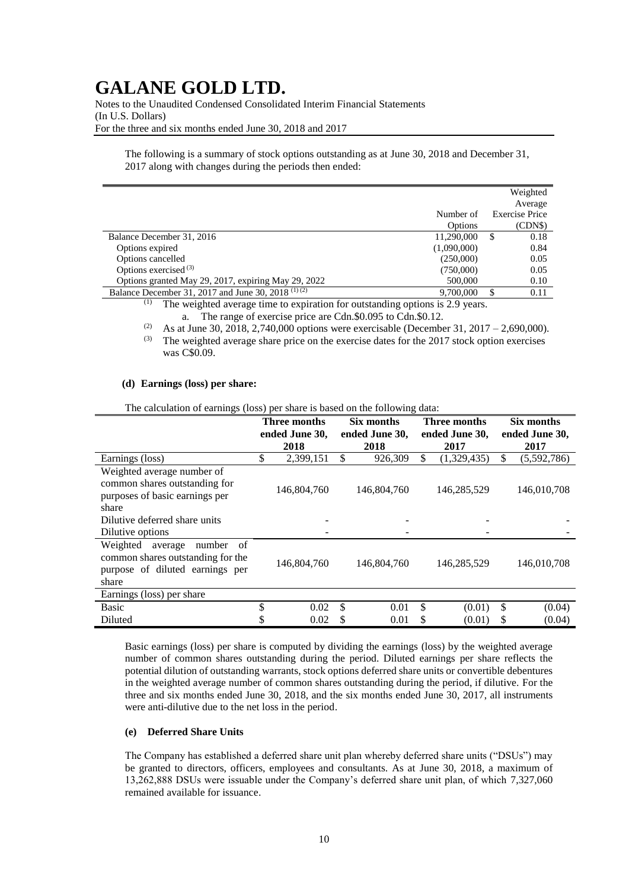Notes to the Unaudited Condensed Consolidated Interim Financial Statements (In U.S. Dollars) For the three and six months ended June 30, 2018 and 2017

The following is a summary of stock options outstanding as at June 30, 2018 and December 31, 2017 along with changes during the periods then ended:

|                                                               |                | Weighted       |
|---------------------------------------------------------------|----------------|----------------|
|                                                               |                | Average        |
|                                                               | Number of      | Exercise Price |
|                                                               | <b>Options</b> | (CDNS)         |
| Balance December 31, 2016                                     | 11,290,000     | S<br>0.18      |
| Options expired                                               | (1,090,000)    | 0.84           |
| Options cancelled                                             | (250,000)      | 0.05           |
| Options exercised <sup>(3)</sup>                              | (750,000)      | 0.05           |
| Options granted May 29, 2017, expiring May 29, 2022           | 500,000        | 0.10           |
| Balance December 31, 2017 and June 30, 2018 <sup>(1)(2)</sup> | 9.700,000      | 0.11           |

(1) The weighted average time to expiration for outstanding options is 2.9 years.

a. The range of exercise price are Cdn.\$0.095 to Cdn.\$0.12.

<sup>(2)</sup> As at June 30, 2018, 2,740,000 options were exercisable (December 31, 2017 – 2,690,000).

 $(3)$  The weighted average share price on the exercise dates for the 2017 stock option exercises was C\$0.09.

#### **(d) Earnings (loss) per share:**

The calculation of earnings (loss) per share is based on the following data:

|                                     | <b>Three months</b><br>ended June 30, |             | Six months<br>ended June 30, |             | <b>Three months</b><br>ended June 30, |             | Six months<br>ended June 30, |             |
|-------------------------------------|---------------------------------------|-------------|------------------------------|-------------|---------------------------------------|-------------|------------------------------|-------------|
|                                     |                                       | 2018        |                              | 2018        |                                       | 2017        |                              | 2017        |
| Earnings (loss)                     | \$                                    | 2,399,151   | \$                           | 926,309     | \$                                    | (1,329,435) | $\mathbb{S}$                 | (5,592,786) |
| Weighted average number of          |                                       |             |                              |             |                                       |             |                              |             |
| common shares outstanding for       |                                       | 146,804,760 |                              | 146,804,760 |                                       | 146,285,529 |                              | 146,010,708 |
| purposes of basic earnings per      |                                       |             |                              |             |                                       |             |                              |             |
| share                               |                                       |             |                              |             |                                       |             |                              |             |
| Dilutive deferred share units       |                                       |             |                              |             |                                       |             |                              |             |
| Dilutive options                    |                                       |             |                              |             |                                       |             |                              |             |
| Weighted<br>number<br>of<br>average |                                       |             |                              |             |                                       |             |                              |             |
| common shares outstanding for the   |                                       | 146,804,760 |                              | 146,804,760 |                                       | 146,285,529 |                              | 146,010,708 |
| purpose of diluted earnings per     |                                       |             |                              |             |                                       |             |                              |             |
| share                               |                                       |             |                              |             |                                       |             |                              |             |
| Earnings (loss) per share           |                                       |             |                              |             |                                       |             |                              |             |
| <b>Basic</b>                        | \$                                    | 0.02        | \$                           | 0.01        | \$                                    | (0.01)      | \$                           | (0.04)      |
| Diluted                             |                                       | 0.02        | S                            | 0.01        | S                                     | (0.01)      | S                            | (0.04)      |

Basic earnings (loss) per share is computed by dividing the earnings (loss) by the weighted average number of common shares outstanding during the period. Diluted earnings per share reflects the potential dilution of outstanding warrants, stock options deferred share units or convertible debentures in the weighted average number of common shares outstanding during the period, if dilutive. For the three and six months ended June 30, 2018, and the six months ended June 30, 2017, all instruments were anti-dilutive due to the net loss in the period.

#### **(e) Deferred Share Units**

The Company has established a deferred share unit plan whereby deferred share units ("DSUs") may be granted to directors, officers, employees and consultants. As at June 30, 2018, a maximum of 13,262,888 DSUs were issuable under the Company's deferred share unit plan, of which 7,327,060 remained available for issuance.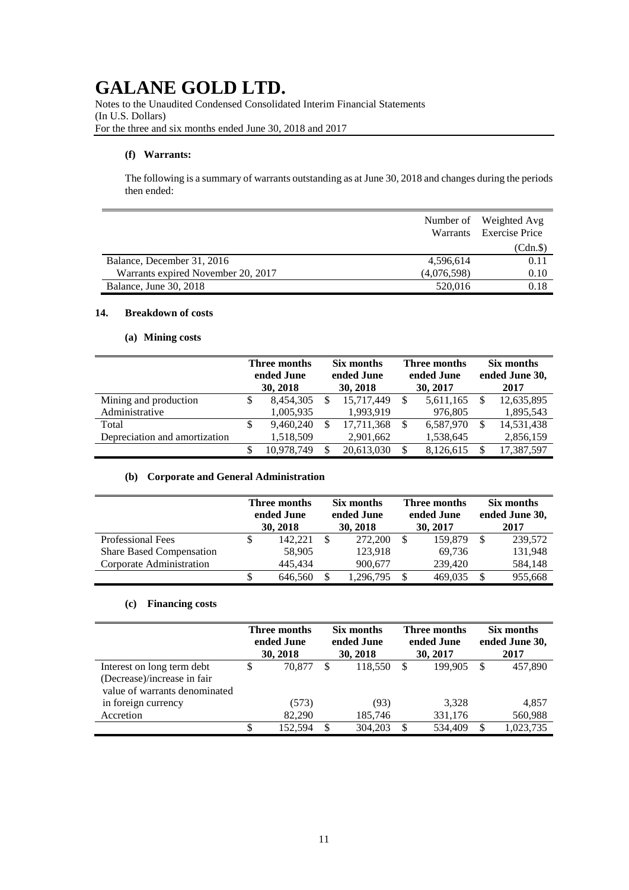Notes to the Unaudited Condensed Consolidated Interim Financial Statements (In U.S. Dollars) For the three and six months ended June 30, 2018 and 2017

## **(f) Warrants:**

The following is a summary of warrants outstanding as at June 30, 2018 and changes during the periods then ended:

|                                    |             | Number of Weighted Avg<br>Warrants Exercise Price |
|------------------------------------|-------------|---------------------------------------------------|
|                                    |             | (Cdn.\$)                                          |
| Balance, December 31, 2016         | 4,596,614   | 0.11                                              |
| Warrants expired November 20, 2017 | (4,076,598) | 0.10                                              |
| <b>Balance, June 30, 2018</b>      | 520,016     | 0.18                                              |

## **14. Breakdown of costs**

## **(a) Mining costs**

|                               | Three months<br>ended June<br>30, 2018 |   | Six months<br>ended June<br>30, 2018 |    | Three months<br>ended June<br>30, 2017 |  | Six months<br>ended June 30,<br>2017 |  |
|-------------------------------|----------------------------------------|---|--------------------------------------|----|----------------------------------------|--|--------------------------------------|--|
| Mining and production         | 8,454,305                              |   | 15,717,449                           |    | 5,611,165                              |  | 12,635,895                           |  |
| Administrative                | 1,005,935                              |   | 1,993,919                            |    | 976,805                                |  | 1,895,543                            |  |
| Total                         | 9.460.240                              | S | 17,711,368                           | -S | 6,587,970                              |  | 14,531,438                           |  |
| Depreciation and amortization | 1,518,509                              |   | 2,901,662                            |    | 1,538,645                              |  | 2,856,159                            |  |
|                               | 10,978,749                             |   | 20,613,030                           |    | 8,126,615                              |  | 17,387,597                           |  |

## **(b) Corporate and General Administration**

|                                 | Three months<br>ended June<br>30, 2018 |   | Six months<br>ended June<br>30, 2018 |     | Three months<br>ended June<br>30, 2017 |  | Six months<br>ended June 30,<br>2017 |  |
|---------------------------------|----------------------------------------|---|--------------------------------------|-----|----------------------------------------|--|--------------------------------------|--|
| Professional Fees               | 142.221                                | S | 272,200                              | \$. | 159,879                                |  | 239,572                              |  |
| <b>Share Based Compensation</b> | 58,905                                 |   | 123,918                              |     | 69,736                                 |  | 131,948                              |  |
| Corporate Administration        | 445,434                                |   | 900,677                              |     | 239,420                                |  | 584,148                              |  |
|                                 | 646,560                                |   | 1,296,795                            | S   | 469.035                                |  | 955,668                              |  |

## **(c) Financing costs**

|                                                                                            | Three months<br>ended June<br>30, 2018 |         | Six months<br>ended June<br>30, 2018 |         | Three months<br>ended June<br>30, 2017 |         | Six months<br>ended June 30,<br>2017 |           |
|--------------------------------------------------------------------------------------------|----------------------------------------|---------|--------------------------------------|---------|----------------------------------------|---------|--------------------------------------|-----------|
| Interest on long term debt<br>(Decrease)/increase in fair<br>value of warrants denominated |                                        | 70,877  | S                                    | 118.550 | -S                                     | 199.905 |                                      | 457,890   |
| in foreign currency                                                                        |                                        | (573)   |                                      | (93)    |                                        | 3,328   |                                      | 4,857     |
| Accretion                                                                                  |                                        | 82,290  |                                      | 185,746 |                                        | 331,176 |                                      | 560,988   |
|                                                                                            | S                                      | 152,594 | \$.                                  | 304,203 | \$.                                    | 534,409 | S                                    | 1,023,735 |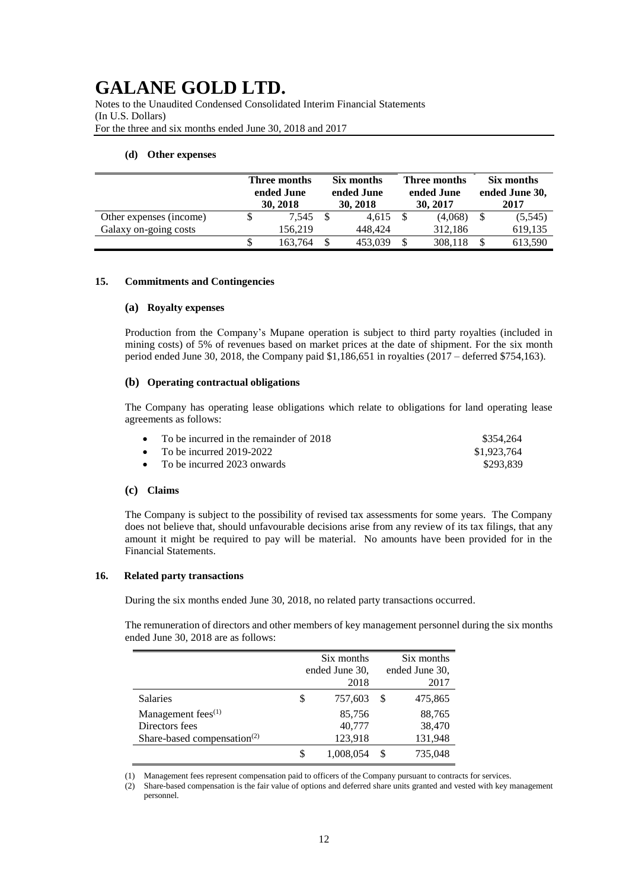Notes to the Unaudited Condensed Consolidated Interim Financial Statements (In U.S. Dollars) For the three and six months ended June 30, 2018 and 2017

#### **(d) Other expenses**

|                         | Three months<br>ended June<br>30, 2018 |               | Six months<br>ended June<br>30, 2018 |    | Three months<br>ended June<br>30, 2017 |  | Six months<br>ended June 30,<br>2017 |  |
|-------------------------|----------------------------------------|---------------|--------------------------------------|----|----------------------------------------|--|--------------------------------------|--|
| Other expenses (income) | 7.545                                  |               | 4.615                                |    | (4,068)                                |  | (5,545)                              |  |
| Galaxy on-going costs   | 156,219                                |               | 448,424                              |    | 312,186                                |  | 619,135                              |  |
|                         | 163.764                                | <sup>\$</sup> | 453.039                              | \$ | 308,118                                |  | 613,590                              |  |

#### **15. Commitments and Contingencies**

#### **(a) Royalty expenses**

Production from the Company's Mupane operation is subject to third party royalties (included in mining costs) of 5% of revenues based on market prices at the date of shipment. For the six month period ended June 30, 2018, the Company paid \$1,186,651 in royalties (2017 – deferred \$754,163).

#### **(b) Operating contractual obligations**

The Company has operating lease obligations which relate to obligations for land operating lease agreements as follows:

| • To be incurred in the remainder of $2018$ | \$354.264   |
|---------------------------------------------|-------------|
| • To be incurred 2019-2022                  | \$1,923,764 |
| • To be incurred 2023 onwards               | \$293,839   |

## **(c) Claims**

The Company is subject to the possibility of revised tax assessments for some years. The Company does not believe that, should unfavourable decisions arise from any review of its tax filings, that any amount it might be required to pay will be material. No amounts have been provided for in the Financial Statements.

### **16. Related party transactions**

During the six months ended June 30, 2018, no related party transactions occurred.

The remuneration of directors and other members of key management personnel during the six months ended June 30, 2018 are as follows:

|                                                      |   | Six months<br>ended June 30, |   | Six months<br>ended June 30, |
|------------------------------------------------------|---|------------------------------|---|------------------------------|
|                                                      |   | 2018                         |   | 2017                         |
| <b>Salaries</b>                                      | S | 757,603                      | S | 475,865                      |
| Management fees <sup>(1)</sup>                       |   | 85,756                       |   | 88,765                       |
| Directors fees                                       |   | 40,777                       |   | 38,470                       |
| Share-based compensation <sup><math>(2)</math></sup> |   | 123,918                      |   | 131,948                      |
|                                                      |   | 1.008.054                    |   | 735,048                      |

(1) Management fees represent compensation paid to officers of the Company pursuant to contracts for services.

(2) Share-based compensation is the fair value of options and deferred share units granted and vested with key management personnel.